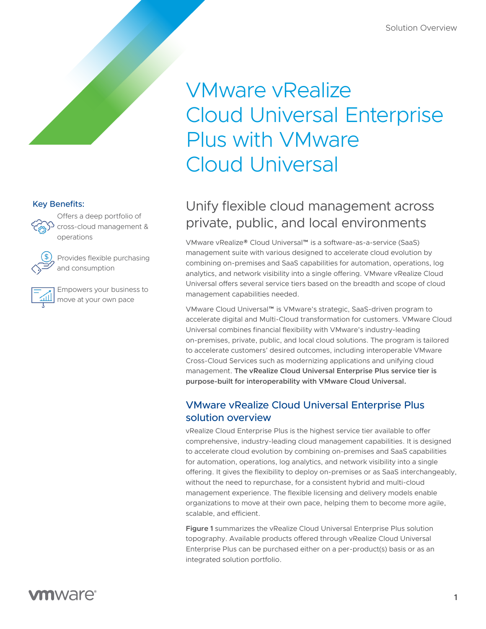# VMware vRealize Cloud Universal Enterprise Plus with VMware Cloud Universal

# Unify flexible cloud management across private, public, and local environments

VMware vRealize® Cloud Universal™ is a software-as-a-service (SaaS) management suite with various designed to accelerate cloud evolution by combining on-premises and SaaS capabilities for automation, operations, log analytics, and network visibility into a single offering. VMware vRealize Cloud Universal offers several service tiers based on the breadth and scope of cloud management capabilities needed.

VMware Cloud Universal™ is VMware's strategic, SaaS-driven program to accelerate digital and Multi-Cloud transformation for customers. VMware Cloud Universal combines financial flexibility with VMware's industry-leading on-premises, private, public, and local cloud solutions. The program is tailored to accelerate customers' desired outcomes, including interoperable VMware Cross-Cloud Services such as modernizing applications and unifying cloud management. **The vRealize Cloud Universal Enterprise Plus service tier is purpose-built for interoperability with VMware Cloud Universal.** 

## VMware vRealize Cloud Universal Enterprise Plus solution overview

vRealize Cloud Enterprise Plus is the highest service tier available to offer comprehensive, industry-leading cloud management capabilities. It is designed to accelerate cloud evolution by combining on-premises and SaaS capabilities for automation, operations, log analytics, and network visibility into a single offering. It gives the flexibility to deploy on-premises or as SaaS interchangeably, without the need to repurchase, for a consistent hybrid and multi-cloud management experience. The flexible licensing and delivery models enable organizations to move at their own pace, helping them to become more agile, scalable, and efficient.

**Figure 1** summarizes the vRealize Cloud Universal Enterprise Plus solution topography. Available products offered through vRealize Cloud Universal Enterprise Plus can be purchased either on a per-product(s) basis or as an integrated solution portfolio.

#### Key Benefits:



Offers a deep portfolio of cross-cloud management & operations



Provides flexible purchasing and consumption

Empowers your business to move at your own pace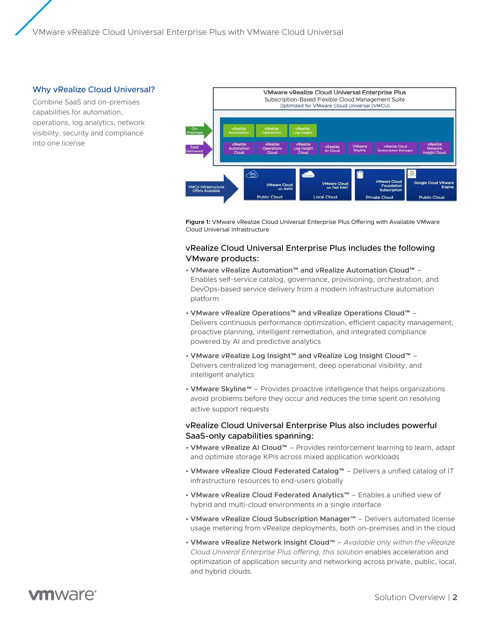#### Why vRealize Cloud Universal?

Combine SaaS and on-premises capabilities for automation, operations, log analytics, network visibility, security and compliance into one license



**Figure 1:** VMware vRealize Cloud Universal Enterprise Plus Offering with Available VMware Cloud Universal Infrastructure

#### vRealize Cloud Universal Enterprise Plus includes the following VMware products:

- **VMware vRealize Automation™ and vRealize Automation Cloud™** Enables self-service catalog, governance, provisioning, orchestration, and DevOps-based service delivery from a modern infrastructure automation platform
- **VMware vRealize Operations™ and vRealize Operations Cloud™** Delivers continuous performance optimization, efficient capacity management, proactive planning, intelligent remediation, and integrated compliance powered by AI and predictive analytics
- **VMware vRealize Log Insight™ and vRealize Log Insight Cloud™** Delivers centralized log management, deep operational visibility, and intelligent analytics
- **VMware Skyline™** Provides proactive intelligence that helps organizations avoid problems before they occur and reduces the time spent on resolving active support requests

#### vRealize Cloud Universal Enterprise Plus also includes powerful SaaS-only capabilities spanning:

- **VMware vRealize AI Cloud™** Provides reinforcement learning to learn, adapt and optimize storage KPIs across mixed application workloads
- **VMware vRealize Cloud Federated Catalog™** Delivers a unified catalog of IT infrastructure resources to end-users globally
- **VMware vRealize Cloud Federated Analytics™** Enables a unified view of hybrid and multi-cloud environments in a single interface
- **VMware vRealize Cloud Subscription Manager**™ Delivers automated license usage metering from vRealize deployments, both on-premises and in the cloud
- **VMware vRealize Network Insight Cloud™** *Available only within the vRealize Cloud Univeral Enterprise Plus offering, this solution* enables acceleration and optimization of application security and networking across private, public, local, and hybrid clouds.

mware